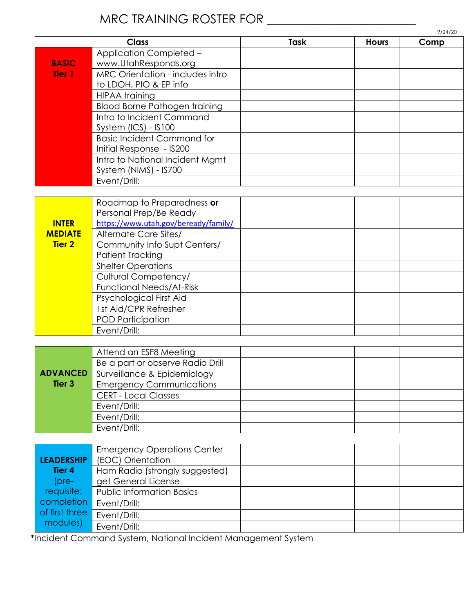# MRC TRAINING ROSTER FOR \_\_\_\_\_\_\_\_\_\_\_\_\_\_\_\_\_\_\_\_\_\_\_\_

|                   | <b>Class</b>                                                    | Task | <b>Hours</b> | 9/24/20<br>Comp |
|-------------------|-----------------------------------------------------------------|------|--------------|-----------------|
|                   | <b>Application Completed -</b>                                  |      |              |                 |
| <b>BASIC</b>      |                                                                 |      |              |                 |
| <b>Tier 1</b>     | www.UtahResponds.org<br><b>MRC Orientation - includes intro</b> |      |              |                 |
|                   | to LDOH, PIO & EP info                                          |      |              |                 |
|                   |                                                                 |      |              |                 |
|                   | <b>HIPAA</b> training                                           |      |              |                 |
|                   | <b>Blood Borne Pathogen training</b>                            |      |              |                 |
|                   | Intro to Incident Command                                       |      |              |                 |
|                   | System $(ICS) - IS100$                                          |      |              |                 |
|                   | <b>Basic Incident Command for</b>                               |      |              |                 |
|                   | Initial Response - IS200                                        |      |              |                 |
|                   | Intro to National Incident Mgmt                                 |      |              |                 |
|                   | System (NIMS) - IS700                                           |      |              |                 |
|                   | Event/Drill:                                                    |      |              |                 |
|                   |                                                                 |      |              |                 |
|                   | Roadmap to Preparedness or                                      |      |              |                 |
|                   | Personal Prep/Be Ready                                          |      |              |                 |
| <b>INTER</b>      | https://www.utah.gov/beready/family/                            |      |              |                 |
| <b>MEDIATE</b>    | Alternate Care Sites/                                           |      |              |                 |
| <b>Tier 2</b>     | Community Info Supt Centers/                                    |      |              |                 |
|                   | <b>Patient Tracking</b>                                         |      |              |                 |
|                   | <b>Shelter Operations</b>                                       |      |              |                 |
|                   | <b>Cultural Competency/</b>                                     |      |              |                 |
|                   | <b>Functional Needs/At-Risk</b>                                 |      |              |                 |
|                   | Psychological First Aid                                         |      |              |                 |
|                   | 1st Aid/CPR Refresher                                           |      |              |                 |
|                   | POD Participation                                               |      |              |                 |
|                   | Event/Drill:                                                    |      |              |                 |
|                   |                                                                 |      |              |                 |
| <b>ADVANCED</b>   | Attend an ESF8 Meeting                                          |      |              |                 |
|                   | Be a part or observe Radio Drill                                |      |              |                 |
|                   | Surveillance & Epidemiology                                     |      |              |                 |
| Tier <sub>3</sub> | <b>Emergency Communications</b>                                 |      |              |                 |
|                   | <b>CERT - Local Classes</b>                                     |      |              |                 |
|                   | Event/Drill:                                                    |      |              |                 |
|                   | Event/Drill:                                                    |      |              |                 |
|                   | Event/Drill:                                                    |      |              |                 |
|                   |                                                                 |      |              |                 |
|                   | <b>Emergency Operations Center</b>                              |      |              |                 |
| <b>LEADERSHIP</b> | (EOC) Orientation                                               |      |              |                 |
| <b>Tier 4</b>     | Ham Radio (strongly suggested)                                  |      |              |                 |
| $(pre-$           | get General License                                             |      |              |                 |
| requisite:        | <b>Public Information Basics</b>                                |      |              |                 |
| completion        | Event/Drill:                                                    |      |              |                 |
| of first three    | Event/Drill:                                                    |      |              |                 |
| modules)          | Event/Drill:                                                    |      |              |                 |
|                   |                                                                 |      |              |                 |

\*Incident Command System, National Incident Management System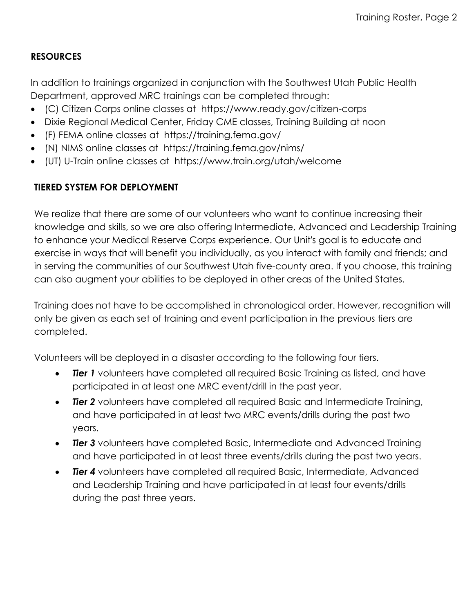## **RESOURCES**

In addition to trainings organized in conjunction with the Southwest Utah Public Health Department, approved MRC trainings can be completed through:

- (C) Citizen Corps online classes at https://www.ready.gov/citizen-corps
- Dixie Regional Medical Center, Friday CME classes, Training Building at noon
- (F) FEMA online classes at https://training.fema.gov/
- (N) NIMS online classes at https://training.fema.gov/nims/
- (UT) U-Train online classes at <https://www.train.org/utah/welcome>

## **TIERED SYSTEM FOR DEPLOYMENT**

We realize that there are some of our volunteers who want to continue increasing their knowledge and skills, so we are also offering Intermediate, Advanced and Leadership Training to enhance your Medical Reserve Corps experience. Our Unit's goal is to educate and exercise in ways that will benefit you individually, as you interact with family and friends; and in serving the communities of our Southwest Utah five-county area. If you choose, this training can also augment your abilities to be deployed in other areas of the United States.

Training does not have to be accomplished in chronological order. However, recognition will only be given as each set of training and event participation in the previous tiers are completed.

Volunteers will be deployed in a disaster according to the following four tiers.

- **Tier 1** volunteers have completed all required Basic Training as listed, and have participated in at least one MRC event/drill in the past year.
- *Tier 2* volunteers have completed all required Basic and Intermediate Training, and have participated in at least two MRC events/drills during the past two years.
- **Tier 3** volunteers have completed Basic, Intermediate and Advanced Training and have participated in at least three events/drills during the past two years.
- **Tier 4** volunteers have completed all required Basic, Intermediate, Advanced and Leadership Training and have participated in at least four events/drills during the past three years.